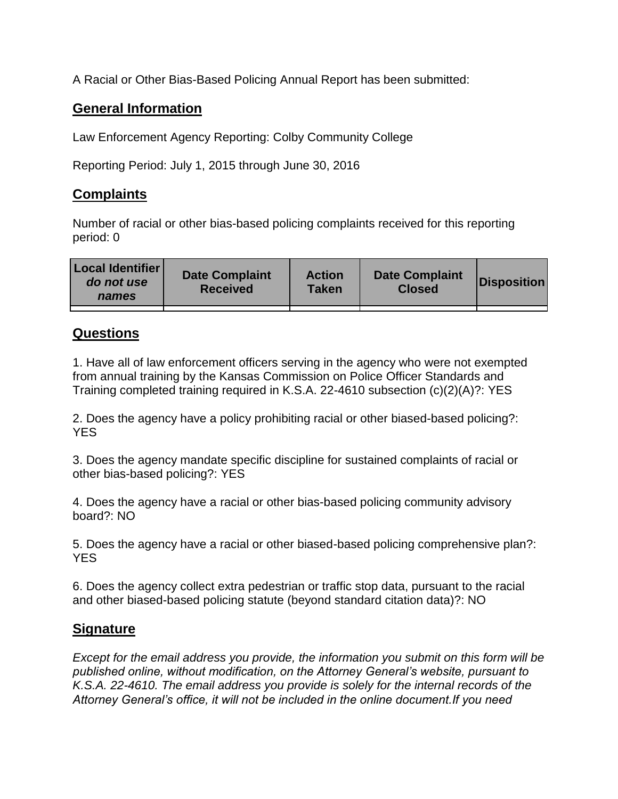A Racial or Other Bias-Based Policing Annual Report has been submitted:

## **General Information**

Law Enforcement Agency Reporting: Colby Community College

Reporting Period: July 1, 2015 through June 30, 2016

## **Complaints**

Number of racial or other bias-based policing complaints received for this reporting period: 0

| <b>Local Identifier</b><br>do not use<br>names | <b>Date Complaint</b><br><b>Received</b> | <b>Action</b><br><b>Taken</b> | <b>Date Complaint</b><br><b>Closed</b> | Disposition |
|------------------------------------------------|------------------------------------------|-------------------------------|----------------------------------------|-------------|
|                                                |                                          |                               |                                        |             |

## **Questions**

1. Have all of law enforcement officers serving in the agency who were not exempted from annual training by the Kansas Commission on Police Officer Standards and Training completed training required in K.S.A. 22-4610 subsection (c)(2)(A)?: YES

2. Does the agency have a policy prohibiting racial or other biased-based policing?: YES

3. Does the agency mandate specific discipline for sustained complaints of racial or other bias-based policing?: YES

4. Does the agency have a racial or other bias-based policing community advisory board?: NO

5. Does the agency have a racial or other biased-based policing comprehensive plan?: YES

6. Does the agency collect extra pedestrian or traffic stop data, pursuant to the racial and other biased-based policing statute (beyond standard citation data)?: NO

## **Signature**

*Except for the email address you provide, the information you submit on this form will be published online, without modification, on the Attorney General's website, pursuant to K.S.A. 22-4610. The email address you provide is solely for the internal records of the Attorney General's office, it will not be included in the online document.If you need*